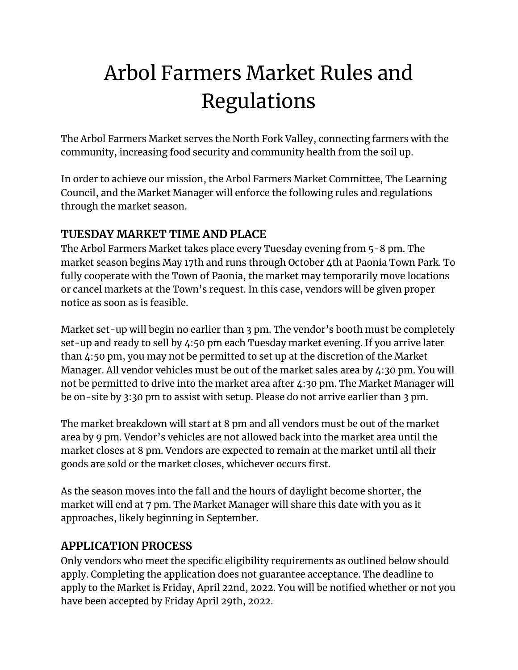# Arbol Farmers Market Rules and Regulations

The Arbol Farmers Market serves the North Fork Valley, connecting farmers with the community, increasing food security and community health from the soil up.

In order to achieve our mission, the Arbol Farmers Market Committee, The Learning Council, and the Market Manager will enforce the following rules and regulations through the market season.

## **TUESDAY MARKET TIME AND PLACE**

The Arbol Farmers Market takes place every Tuesday evening from 5-8 pm. The market season begins May 17th and runs through October 4th at Paonia Town Park. To fully cooperate with the Town of Paonia, the market may temporarily move locations or cancel markets at the Town's request. In this case, vendors will be given proper notice as soon as is feasible.

Market set-up will begin no earlier than 3 pm. The vendor's booth must be completely set-up and ready to sell by 4:50 pm each Tuesday market evening. If you arrive later than 4:50 pm, you may not be permitted to set up at the discretion of the Market Manager. All vendor vehicles must be out of the market sales area by 4:30 pm. You will not be permitted to drive into the market area after 4:30 pm. The Market Manager will be on-site by 3:30 pm to assist with setup. Please do not arrive earlier than 3 pm.

The market breakdown will start at 8 pm and all vendors must be out of the market area by 9 pm. Vendor's vehicles are not allowed back into the market area until the market closes at 8 pm. Vendors are expected to remain at the market until all their goods are sold or the market closes, whichever occurs first.

As the season moves into the fall and the hours of daylight become shorter, the market will end at 7 pm. The Market Manager will share this date with you as it approaches, likely beginning in September.

#### **APPLICATION PROCESS**

Only vendors who meet the specific eligibility requirements as outlined below should apply. Completing the application does not guarantee acceptance. The deadline to apply to the Market is Friday, April 22nd, 2022. You will be notified whether or not you have been accepted by Friday April 29th, 2022.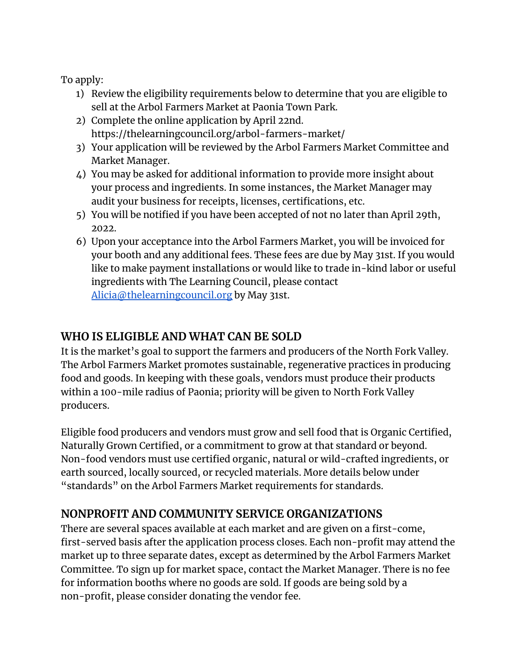To apply:

- 1) Review the eligibility requirements below to determine that you are eligible to sell at the Arbol Farmers Market at Paonia Town Park.
- 2) Complete the online application by April 22nd. https://thelearningcouncil.org/arbol-farmers-market/
- 3) Your application will be reviewed by the Arbol Farmers Market Committee and Market Manager.
- 4) You may be asked for additional information to provide more insight about your process and ingredients. In some instances, the Market Manager may audit your business for receipts, licenses, certifications, etc.
- 5) You will be notified if you have been accepted of not no later than April 29th, 2022.
- 6) Upon your acceptance into the Arbol Farmers Market, you will be invoiced for your booth and any additional fees. These fees are due by May 31st. If you would like to make payment installations or would like to trade in-kind labor or useful ingredients with The Learning Council, please contact [Alicia@thelearningcouncil.org](mailto:Alicia@thelearningcouncil.org) by May 31st.

## **WHO IS ELIGIBLE AND WHAT CAN BE SOLD**

It is the market's goal to support the farmers and producers of the North Fork Valley. The Arbol Farmers Market promotes sustainable, regenerative practices in producing food and goods. In keeping with these goals, vendors must produce their products within a 100-mile radius of Paonia; priority will be given to North Fork Valley producers.

Eligible food producers and vendors must grow and sell food that is Organic Certified, Naturally Grown Certified, or a commitment to grow at that standard or beyond. Non-food vendors must use certified organic, natural or wild-crafted ingredients, or earth sourced, locally sourced, or recycled materials. More details below under "standards" on the Arbol Farmers Market requirements for standards.

#### **NONPROFIT AND COMMUNITY SERVICE ORGANIZATIONS**

There are several spaces available at each market and are given on a first-come, first-served basis after the application process closes. Each non-profit may attend the market up to three separate dates, except as determined by the Arbol Farmers Market Committee. To sign up for market space, contact the Market Manager. There is no fee for information booths where no goods are sold. If goods are being sold by a non-profit, please consider donating the vendor fee.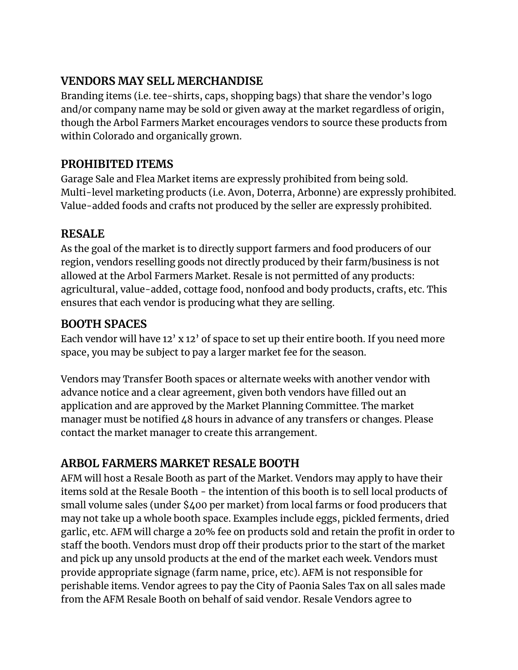## **VENDORS MAY SELL MERCHANDISE**

Branding items (i.e. tee-shirts, caps, shopping bags) that share the vendor's logo and/or company name may be sold or given away at the market regardless of origin, though the Arbol Farmers Market encourages vendors to source these products from within Colorado and organically grown.

# **PROHIBITED ITEMS**

Garage Sale and Flea Market items are expressly prohibited from being sold. Multi-level marketing products (i.e. Avon, Doterra, Arbonne) are expressly prohibited. Value-added foods and crafts not produced by the seller are expressly prohibited.

# **RESALE**

As the goal of the market is to directly support farmers and food producers of our region, vendors reselling goods not directly produced by their farm/business is not allowed at the Arbol Farmers Market. Resale is not permitted of any products: agricultural, value-added, cottage food, nonfood and body products, crafts, etc. This ensures that each vendor is producing what they are selling.

## **BOOTH SPACES**

Each vendor will have 12' x 12' of space to set up their entire booth. If you need more space, you may be subject to pay a larger market fee for the season.

Vendors may Transfer Booth spaces or alternate weeks with another vendor with advance notice and a clear agreement, given both vendors have filled out an application and are approved by the Market Planning Committee. The market manager must be notified 48 hours in advance of any transfers or changes. Please contact the market manager to create this arrangement.

# **ARBOL FARMERS MARKET RESALE BOOTH**

AFM will host a Resale Booth as part of the Market. Vendors may apply to have their items sold at the Resale Booth - the intention of this booth is to sell local products of small volume sales (under \$400 per market) from local farms or food producers that may not take up a whole booth space. Examples include eggs, pickled ferments, dried garlic, etc. AFM will charge a 20% fee on products sold and retain the profit in order to staff the booth. Vendors must drop off their products prior to the start of the market and pick up any unsold products at the end of the market each week. Vendors must provide appropriate signage (farm name, price, etc). AFM is not responsible for perishable items. Vendor agrees to pay the City of Paonia Sales Tax on all sales made from the AFM Resale Booth on behalf of said vendor. Resale Vendors agree to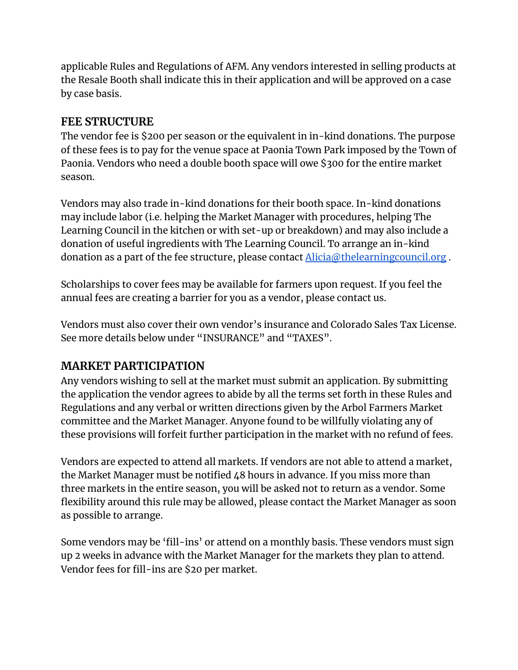applicable Rules and Regulations of AFM. Any vendors interested in selling products at the Resale Booth shall indicate this in their application and will be approved on a case by case basis.

#### **FEE STRUCTURE**

The vendor fee is \$200 per season or the equivalent in in-kind donations. The purpose of these fees is to pay for the venue space at Paonia Town Park imposed by the Town of Paonia. Vendors who need a double booth space will owe \$300 for the entire market season.

Vendors may also trade in-kind donations for their booth space. In-kind donations may include labor (i.e. helping the Market Manager with procedures, helping The Learning Council in the kitchen or with set-up or breakdown) and may also include a donation of useful ingredients with The Learning Council. To arrange an in-kind donation as a part of the fee structure, please contact [Alicia@thelearningcouncil.org](mailto:Alicia@thelearningcouncil.org).

Scholarships to cover fees may be available for farmers upon request. If you feel the annual fees are creating a barrier for you as a vendor, please contact us.

Vendors must also cover their own vendor's insurance and Colorado Sales Tax License. See more details below under "INSURANCE" and "TAXES".

#### **MARKET PARTICIPATION**

Any vendors wishing to sell at the market must submit an application. By submitting the application the vendor agrees to abide by all the terms set forth in these Rules and Regulations and any verbal or written directions given by the Arbol Farmers Market committee and the Market Manager. Anyone found to be willfully violating any of these provisions will forfeit further participation in the market with no refund of fees.

Vendors are expected to attend all markets. If vendors are not able to attend a market, the Market Manager must be notified 48 hours in advance. If you miss more than three markets in the entire season, you will be asked not to return as a vendor. Some flexibility around this rule may be allowed, please contact the Market Manager as soon as possible to arrange.

Some vendors may be 'fill-ins' or attend on a monthly basis. These vendors must sign up 2 weeks in advance with the Market Manager for the markets they plan to attend. Vendor fees for fill-ins are \$20 per market.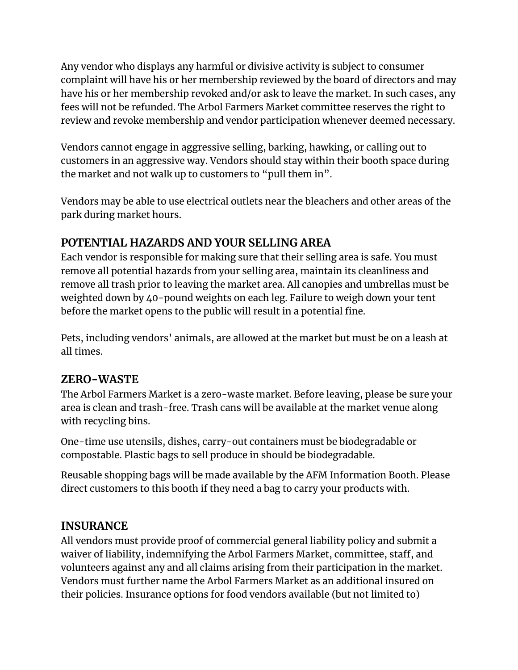Any vendor who displays any harmful or divisive activity is subject to consumer complaint will have his or her membership reviewed by the board of directors and may have his or her membership revoked and/or ask to leave the market. In such cases, any fees will not be refunded. The Arbol Farmers Market committee reserves the right to review and revoke membership and vendor participation whenever deemed necessary.

Vendors cannot engage in aggressive selling, barking, hawking, or calling out to customers in an aggressive way. Vendors should stay within their booth space during the market and not walk up to customers to "pull them in".

Vendors may be able to use electrical outlets near the bleachers and other areas of the park during market hours.

## **POTENTIAL HAZARDS AND YOUR SELLING AREA**

Each vendor is responsible for making sure that their selling area is safe. You must remove all potential hazards from your selling area, maintain its cleanliness and remove all trash prior to leaving the market area. All canopies and umbrellas must be weighted down by 40-pound weights on each leg. Failure to weigh down your tent before the market opens to the public will result in a potential fine.

Pets, including vendors' animals, are allowed at the market but must be on a leash at all times.

#### **ZERO-WASTE**

The Arbol Farmers Market is a zero-waste market. Before leaving, please be sure your area is clean and trash-free. Trash cans will be available at the market venue along with recycling bins.

One-time use utensils, dishes, carry-out containers must be biodegradable or compostable. Plastic bags to sell produce in should be biodegradable.

Reusable shopping bags will be made available by the AFM Information Booth. Please direct customers to this booth if they need a bag to carry your products with.

#### **INSURANCE**

All vendors must provide proof of commercial general liability policy and submit a waiver of liability, indemnifying the Arbol Farmers Market, committee, staff, and volunteers against any and all claims arising from their participation in the market. Vendors must further name the Arbol Farmers Market as an additional insured on their policies. Insurance options for food vendors available (but not limited to)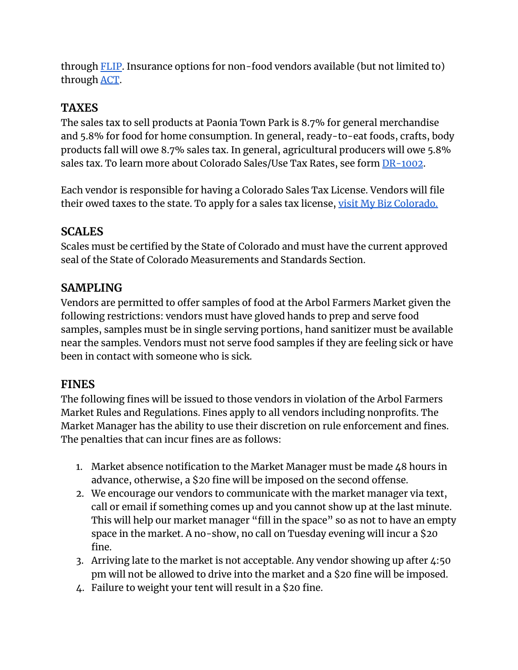through [FLIP](https://www.fliprogram.com/vendor-insurance). Insurance options for non-food vendors available (but not limited to) through [ACT](https://www.actinsurance.com/farmers-markets-insurance).

## **TAXES**

The sales tax to sell products at Paonia Town Park is 8.7% for general merchandise and 5.8% for food for home consumption. In general, ready-to-eat foods, crafts, body products fall will owe 8.7% sales tax. In general, agricultural producers will owe 5.8% sales tax. To learn more about Colorado Sales/Use Tax Rates, see form [DR-1002](https://www.salestaxcolorado.com/wp-content/uploads/2018/05/dr1002.pdf).

Each vendor is responsible for having a Colorado Sales Tax License. Vendors will file their owed taxes to the state. To apply for a sales tax license, visit My Biz [Colorado.](https://mybiz.colorado.gov/intro)

#### **SCALES**

Scales must be certified by the State of Colorado and must have the current approved seal of the State of Colorado Measurements and Standards Section.

#### **SAMPLING**

Vendors are permitted to offer samples of food at the Arbol Farmers Market given the following restrictions: vendors must have gloved hands to prep and serve food samples, samples must be in single serving portions, hand sanitizer must be available near the samples. Vendors must not serve food samples if they are feeling sick or have been in contact with someone who is sick.

#### **FINES**

The following fines will be issued to those vendors in violation of the Arbol Farmers Market Rules and Regulations. Fines apply to all vendors including nonprofits. The Market Manager has the ability to use their discretion on rule enforcement and fines. The penalties that can incur fines are as follows:

- 1. Market absence notification to the Market Manager must be made 48 hours in advance, otherwise, a \$20 fine will be imposed on the second offense.
- 2. We encourage our vendors to communicate with the market manager via text, call or email if something comes up and you cannot show up at the last minute. This will help our market manager "fill in the space" so as not to have an empty space in the market. A no-show, no call on Tuesday evening will incur a \$20 fine.
- 3. Arriving late to the market is not acceptable. Any vendor showing up after 4:50 pm will not be allowed to drive into the market and a \$20 fine will be imposed.
- 4. Failure to weight your tent will result in a \$20 fine.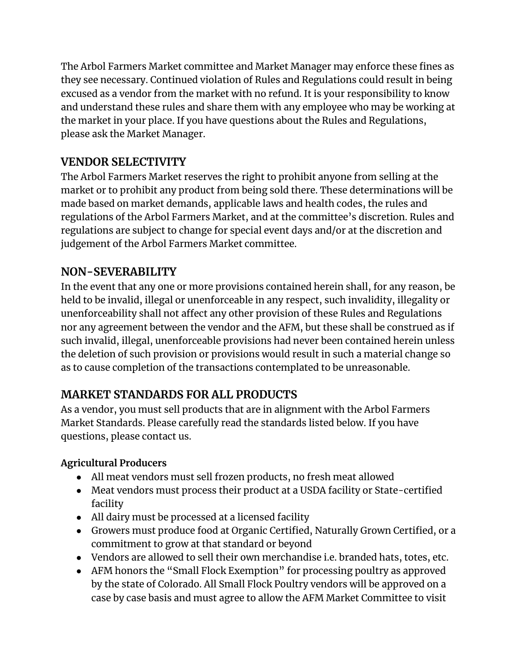The Arbol Farmers Market committee and Market Manager may enforce these fines as they see necessary. Continued violation of Rules and Regulations could result in being excused as a vendor from the market with no refund. It is your responsibility to know and understand these rules and share them with any employee who may be working at the market in your place. If you have questions about the Rules and Regulations, please ask the Market Manager.

# **VENDOR SELECTIVITY**

The Arbol Farmers Market reserves the right to prohibit anyone from selling at the market or to prohibit any product from being sold there. These determinations will be made based on market demands, applicable laws and health codes, the rules and regulations of the Arbol Farmers Market, and at the committee's discretion. Rules and regulations are subject to change for special event days and/or at the discretion and judgement of the Arbol Farmers Market committee.

## **NON-SEVERABILITY**

In the event that any one or more provisions contained herein shall, for any reason, be held to be invalid, illegal or unenforceable in any respect, such invalidity, illegality or unenforceability shall not affect any other provision of these Rules and Regulations nor any agreement between the vendor and the AFM, but these shall be construed as if such invalid, illegal, unenforceable provisions had never been contained herein unless the deletion of such provision or provisions would result in such a material change so as to cause completion of the transactions contemplated to be unreasonable.

# **MARKET STANDARDS FOR ALL PRODUCTS**

As a vendor, you must sell products that are in alignment with the Arbol Farmers Market Standards. Please carefully read the standards listed below. If you have questions, please contact us.

#### **Agricultural Producers**

- All meat vendors must sell frozen products, no fresh meat allowed
- Meat vendors must process their product at a USDA facility or State-certified facility
- All dairy must be processed at a licensed facility
- Growers must produce food at Organic Certified, Naturally Grown Certified, or a commitment to grow at that standard or beyond
- Vendors are allowed to sell their own merchandise i.e. branded hats, totes, etc.
- AFM honors the "Small Flock Exemption" for processing poultry as approved by the state of Colorado. All Small Flock Poultry vendors will be approved on a case by case basis and must agree to allow the AFM Market Committee to visit